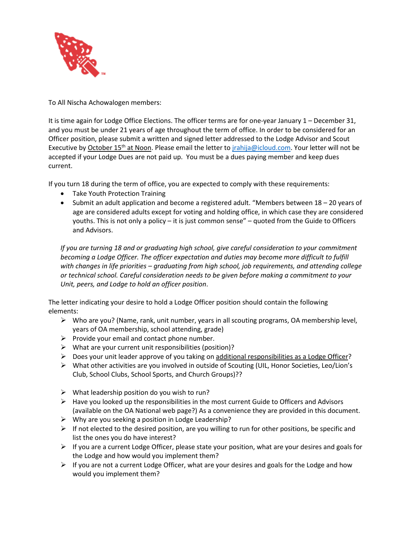

To All Nischa Achowalogen members:

It is time again for Lodge Office Elections. The officer terms are for one-year January 1 – December 31, and you must be under 21 years of age throughout the term of office. In order to be considered for an Officer position, please submit a written and signed letter addressed to the Lodge Advisor and Scout Executive by October 15<sup>th</sup> at Noon. Please email the letter to *jrahija@icloud.com*. Your letter will not be accepted if your Lodge Dues are not paid up. You must be a dues paying member and keep dues current.

If you turn 18 during the term of office, you are expected to comply with these requirements:

- Take Youth Protection Training
- Submit an adult application and become a registered adult. "Members between 18 20 years of age are considered adults except for voting and holding office, in which case they are considered youths. This is not only a policy – it is just common sense" – quoted from the Guide to Officers and Advisors.

*If you are turning 18 and or graduating high school, give careful consideration to your commitment becoming a Lodge Officer. The officer expectation and duties may become more difficult to fulfill with changes in life priorities – graduating from high school, job requirements, and attending college or technical school. Careful consideration needs to be given before making a commitment to your Unit, peers, and Lodge to hold an officer position*.

The letter indicating your desire to hold a Lodge Officer position should contain the following elements:

- $\triangleright$  Who are you? (Name, rank, unit number, years in all scouting programs, OA membership level, years of OA membership, school attending, grade)
- $\triangleright$  Provide your email and contact phone number.
- $\triangleright$  What are your current unit responsibilities (position)?
- $\triangleright$  Does your unit leader approve of you taking on additional responsibilities as a Lodge Officer?
- What other activities are you involved in outside of Scouting (UIL, Honor Societies, Leo/Lion's Club, School Clubs, School Sports, and Church Groups)??
- $\triangleright$  What leadership position do you wish to run?
- $\triangleright$  Have you looked up the responsibilities in the most current Guide to Officers and Advisors (available on the OA National web page?) As a convenience they are provided in this document.
- $\triangleright$  Why are you seeking a position in Lodge Leadership?
- $\triangleright$  If not elected to the desired position, are you willing to run for other positions, be specific and list the ones you do have interest?
- $\triangleright$  If you are a current Lodge Officer, please state your position, what are your desires and goals for the Lodge and how would you implement them?
- $\triangleright$  If you are not a current Lodge Officer, what are your desires and goals for the Lodge and how would you implement them?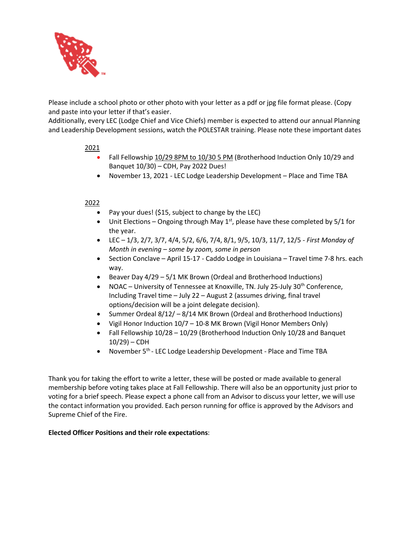

Please include a school photo or other photo with your letter as a pdf or jpg file format please. (Copy and paste into your letter if that's easier.

Additionally, every LEC (Lodge Chief and Vice Chiefs) member is expected to attend our annual Planning and Leadership Development sessions, watch the POLESTAR training. Please note these important dates

## 2021

- Fall Fellowship 10/29 8PM to 10/30 5 PM (Brotherhood Induction Only 10/29 and Banquet 10/30) – CDH, Pay 2022 Dues!
- November 13, 2021 LEC Lodge Leadership Development Place and Time TBA

## 2022

- Pay your dues! (\$15, subject to change by the LEC)
- Unit Elections Ongoing through May  $1<sup>st</sup>$ , please have these completed by 5/1 for the year.
- LEC 1/3, 2/7, 3/7, 4/4, 5/2, 6/6, 7/4, 8/1, 9/5, 10/3, 11/7, 12/5 *First Monday of Month in evening – some by zoom, some in person*
- Section Conclave April 15-17 Caddo Lodge in Louisiana Travel time 7-8 hrs. each way.
- Beaver Day 4/29 5/1 MK Brown (Ordeal and Brotherhood Inductions)
- NOAC University of Tennessee at Knoxville, TN. July 25-July 30<sup>th</sup> Conference, Including Travel time – July 22 – August 2 (assumes driving, final travel options/decision will be a joint delegate decision).
- Summer Ordeal 8/12/ 8/14 MK Brown (Ordeal and Brotherhood Inductions)
- Vigil Honor Induction 10/7 10-8 MK Brown (Vigil Honor Members Only)
- Fall Fellowship 10/28 10/29 (Brotherhood Induction Only 10/28 and Banquet  $10/29$ ) – CDH
- November 5<sup>th</sup> LEC Lodge Leadership Development Place and Time TBA

Thank you for taking the effort to write a letter, these will be posted or made available to general membership before voting takes place at Fall Fellowship. There will also be an opportunity just prior to voting for a brief speech. Please expect a phone call from an Advisor to discuss your letter, we will use the contact information you provided. Each person running for office is approved by the Advisors and Supreme Chief of the Fire.

#### **Elected Officer Positions and their role expectations**: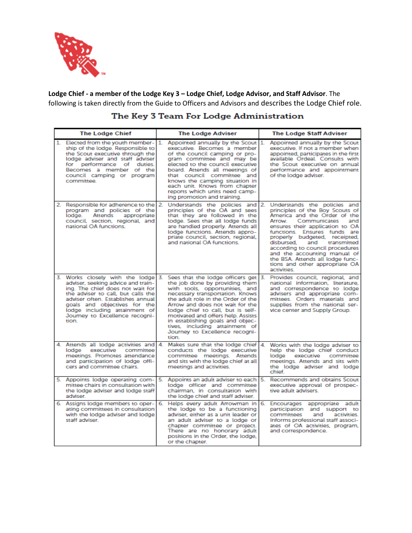

**Lodge Chief - a member of the Lodge Key 3 – Lodge Chief, Lodge Advisor, and Staff Advisor**. The following is taken directly from the Guide to Officers and Advisors and describes the Lodge Chief role.

| <b>The Lodge Chief</b> |                                                                                                                                                                                                                                                                                                     | <b>The Lodge Adviser</b> |                                                                                                                                                                                                                                                                                                                                                                                                                 | <b>The Lodge Staff Adviser</b>                                                                                                                                                                                                                                                                                                                                                                                                  |  |
|------------------------|-----------------------------------------------------------------------------------------------------------------------------------------------------------------------------------------------------------------------------------------------------------------------------------------------------|--------------------------|-----------------------------------------------------------------------------------------------------------------------------------------------------------------------------------------------------------------------------------------------------------------------------------------------------------------------------------------------------------------------------------------------------------------|---------------------------------------------------------------------------------------------------------------------------------------------------------------------------------------------------------------------------------------------------------------------------------------------------------------------------------------------------------------------------------------------------------------------------------|--|
| 1                      | Elected from the youth member-1.<br>ship of the lodge. Responsible to<br>the Scout executive through the<br>lodge adviser and staff adviser<br>for performance of duties.<br>Becomes a member of the<br>council camping or program<br>committee.                                                    |                          | Appointed annually by the Scout 1.<br>executive. Becomes a member<br>of the council camping or pro-<br>gram committee and may be<br>elected to the council executive<br>board. Attends all meetings of<br>that council committee and<br>knows the camping situation in<br>each unit. Knows from chapter<br>reports which units need camp-<br>ing promotion and training.                                        | Appointed annually by the Scout<br>executive. If not a member when<br>appointed, participates in the first<br>available Ordeal. Consults with<br>the Scout executive on annual<br>performance and appointment<br>of the lodge adviser.                                                                                                                                                                                          |  |
|                        | 2. Responsible for adherence to the 2.<br>program and policies of the<br>Attends<br>appropriate<br>lodge.<br>council, section, regional, and<br>national OA functions.                                                                                                                              |                          | Understands the policies and 2.<br>principles of the OA and sees<br>that they are followed in the<br>lodge. Sees that all lodge funds<br>are handled properly. Attends all<br>lodge functions. Attends appro-<br>priate council, section, regional,<br>and national OA functions.                                                                                                                               | Understands the policies and<br>principles of the Boy Scouts of<br>America and the Order of the<br>Arrow<br>Communicates<br>and<br>ensures their application to OA<br>functions. Ensures funds are<br>properly budgeted, receipted,<br>disbursed.<br>transmitted<br>and<br>according to council procedures<br>and the accounting manual of<br>the BSA. Attends all lodge func-<br>tions and other appropriate OA<br>activities. |  |
|                        | 3. Works closely with the lodge 3.<br>adviser, seeking advice and train-<br>ing. The chief does not wait for<br>the adviser to call, but calls the<br>adviser often. Establishes annual<br>goals and objectives for the<br>lodge including attainment of<br>Journey to Excellence recogni-<br>tion. |                          | Sees that the lodge officers get 3.<br>the job done by providing them<br>with tools, opportunities, and<br>necessary transportation. Knows<br>the adult role in the Order of the<br>Arrow and does not wait for the<br>lodge chief to call, but is self-<br>motivated and offers help. Assists<br>in establishing goals and objec-<br>tives, including attainment of<br>Journey to Excellence recogni-<br>tion. | Provides council, regional, and<br>national information, literature,<br>and correspondence to lodge<br>advisers and appropriate com-<br>mittees. Orders materials and<br>supplies from the national ser-<br>vice center and Supply Group.                                                                                                                                                                                       |  |
|                        | 4. Attends all lodge activities and 4.<br>lodge<br>executive committee<br>meetings. Promotes attendance<br>and participation of lodge offi-<br>cers and committee chairs.                                                                                                                           |                          | Makes sure that the lodge chief 4.<br>conducts the lodge executive<br>committee meetings. Attends<br>and sits with the lodge chief at all<br>meetings and activities.                                                                                                                                                                                                                                           | Works with the lodge adviser to<br>help the lodge chief conduct<br>lodae<br>executive committee<br>meetings. Attends and sits with<br>the lodge adviser and lodge<br>chief                                                                                                                                                                                                                                                      |  |
|                        | 5. Appoints lodge operating com-<br>mittee chairs in consultation with<br>the lodge adviser and lodge staff<br>adviser.                                                                                                                                                                             | 5.                       | Appoints an adult adviser to each 5.<br>lodge officer and committee<br>chairman, in consultation with<br>the lodge chief and staff adviser.                                                                                                                                                                                                                                                                     | Recommends and obtains Scout<br>executive approval of prospec-<br>tive adult advisers.                                                                                                                                                                                                                                                                                                                                          |  |
|                        | 6. Assigns lodge members to oper-<br>ating committees in consultation<br>with the lodge adviser and lodge<br>staff adviser                                                                                                                                                                          | 6.                       | Helps every adult Arrowman in 6.<br>the lodge to be a functioning<br>adviser, either as a unit leader or<br>an adult adviser to a lodge or<br>chapter committee or project.<br>There are no honorary adult<br>positions in the Order, the lodge,<br>or the chapter.                                                                                                                                             | Encourages appropriate adult<br>participation and support to<br>activities.<br>committees<br>and<br>Informs professional staff associ-<br>ates of OA activities, program,<br>and correspondence.                                                                                                                                                                                                                                |  |

# The Key 3 Team For Lodge Administration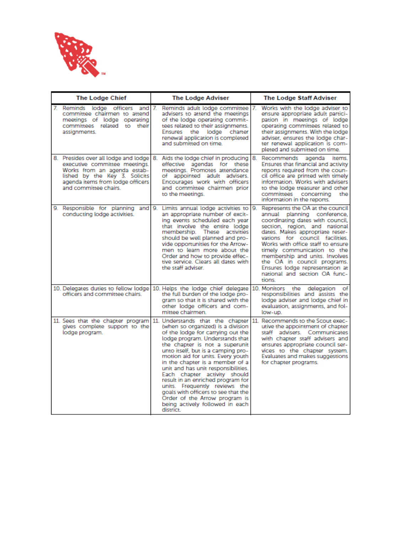

| <b>The Lodge Chief</b> |                                                                                                                                                            | <b>The Lodge Adviser</b> |                                                                                                                                                                                                                                                                                                                                                                                                                                                                                                                                                                                                          | <b>The Lodge Staff Adviser</b> |                                                                                                                                                                                                                                                                                                                                                                                                                                  |
|------------------------|------------------------------------------------------------------------------------------------------------------------------------------------------------|--------------------------|----------------------------------------------------------------------------------------------------------------------------------------------------------------------------------------------------------------------------------------------------------------------------------------------------------------------------------------------------------------------------------------------------------------------------------------------------------------------------------------------------------------------------------------------------------------------------------------------------------|--------------------------------|----------------------------------------------------------------------------------------------------------------------------------------------------------------------------------------------------------------------------------------------------------------------------------------------------------------------------------------------------------------------------------------------------------------------------------|
| assignments.           | 7. Reminds lodge officers and 7.<br>committee chairmen to attend<br>meetings of lodge operating<br>committees related to their                             |                          | Reminds adult lodge committee 17.<br>advisers to attend the meetings<br>of the lodge operating commit-<br>tees related to their assignments.<br>Ensures<br>the lodge charter<br>renewal application is completed<br>and submitted on time.                                                                                                                                                                                                                                                                                                                                                               |                                | Works with the lodge adviser to<br>ensure appropriate adult partici-<br>pation in meetings of lodge<br>operating committees related to<br>their assignments. With the lodge<br>adviser, ensures the lodge char-<br>ter renewal application is com-<br>pleted and submitted on time.                                                                                                                                              |
|                        | executive committee meetings.<br>Works from an agenda estab-<br>lished by the Key 3. Solicits<br>agenda items from lodge officers<br>and committee chairs. |                          | 8. Presides over all lodge and lodge   8. Aids the lodge chief in producing   8.<br>effective agendas for these<br>meetings. Promotes attendance<br>of appointed adult advisers.<br>Encourages work with officers<br>and committee chairmen prior<br>to the meetings.                                                                                                                                                                                                                                                                                                                                    |                                | agenda<br>Recommends<br>items.<br>Ensures that financial and activity<br>reports required from the coun-<br>cil office are printed with timely<br>information. Works with advisers<br>to the lodge treasurer and other<br>committees concerning<br>the<br>information in the reports.                                                                                                                                            |
| 9.                     | conducting lodge activities.                                                                                                                               |                          | Responsible for planning and 9. Limits annual lodge activities to 9.<br>an appropriate number of excit-<br>ing events scheduled each year<br>that involve the entire lodge<br>membership. These activities<br>should be well planned and pro-<br>vide opportunities for the Arrow-<br>men to learn more about the<br>Order and how to provide effec-<br>tive service. Clears all dates with<br>the staff adviser.                                                                                                                                                                                        |                                | Represents the OA at the council<br>annual<br>planning conference,<br>coordinating dates with council.<br>section, region, and national<br>dates. Makes appropriate reser-<br>vations for council facilities.<br>Works with office staff to ensure<br>timely communication to the<br>membership and units. Involves<br>the OA in council programs.<br>Ensures lodge representation at<br>national and section OA func-<br>tions. |
|                        | officers and committee chairs.                                                                                                                             |                          | 10. Delegates duties to fellow lodge 10. Helps the lodge chief delegate 10. Monitors the delegation<br>the full burden of the lodge pro-<br>gram so that it is shared with the<br>other lodge officers and com-<br>mittee chairmen.                                                                                                                                                                                                                                                                                                                                                                      |                                | of<br>responsibilities and assists the<br>lodge adviser and lodge chief in<br>evaluation, assignments, and fol-<br>low-up.                                                                                                                                                                                                                                                                                                       |
|                        | gives complete support to the<br>lodge program.                                                                                                            |                          | 11. Sees that the chapter program 11. Understands that the chapter 11.<br>(when so organized) is a division<br>of the lodge for carrying out the<br>lodge program. Understands that<br>the chapter is not a superunit<br>unto itself, but is a camping pro-<br>motion aid for units. Every youth<br>in the chapter is a member of a<br>unit and has unit responsibilities.<br>Each chapter activity should<br>result in an enriched program for<br>units. Frequently reviews the<br>goals with officers to see that the<br>Order of the Arrow program is<br>being actively followed in each<br>district. |                                | Recommends to the Scout exec-<br>utive the appointment of chapter<br>staff advisers. Communicates<br>with chapter staff advisers and<br>ensures appropriate council ser-<br>vices to the chapter system.<br>Evaluates and makes suggestions<br>for chapter programs.                                                                                                                                                             |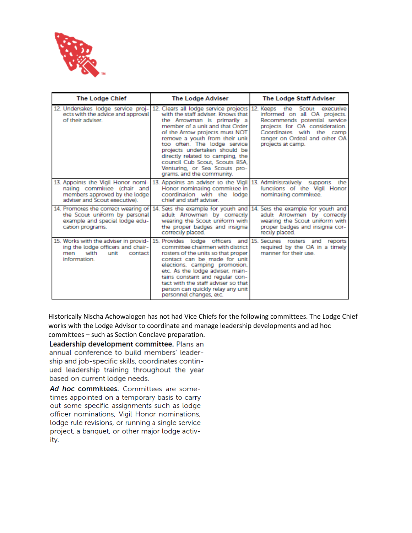

| <b>The Lodge Chief</b>                                                                                                              | <b>The Lodge Adviser</b>                                                                                                                                                                                                                                                                                                                                                                                                   | <b>The Lodge Staff Adviser</b>                                                                                                                                                                                 |  |
|-------------------------------------------------------------------------------------------------------------------------------------|----------------------------------------------------------------------------------------------------------------------------------------------------------------------------------------------------------------------------------------------------------------------------------------------------------------------------------------------------------------------------------------------------------------------------|----------------------------------------------------------------------------------------------------------------------------------------------------------------------------------------------------------------|--|
| 12. Undertakes lodge service proj-<br>ects with the advice and approval<br>of their adviser.                                        | 12. Clears all lodge service projects 12.<br>with the staff adviser. Knows that<br>the Arrowman is primarily a<br>member of a unit and that Order<br>of the Arrow projects must NOT<br>remove a youth from their unit<br>too often. The lodge service<br>projects undertaken should be<br>directly related to camping, the<br>council Cub Scout, Scouts BSA.<br>Venturing, or Sea Scouts pro-<br>grams, and the community. | Keeps the Scout executive<br>informed on all OA projects.<br>Recommends potential service<br>projects for OA consideration.<br>Coordinates with the camp<br>ranger on Ordeal and other OA<br>projects at camp. |  |
| 13. Appoints the Vigil Honor nomi-<br>nating committee (chair and<br>members approved by the lodge<br>adviser and Scout executive). | 13. Appoints an adviser to the Vigil<br>Honor nominating committee in<br>coordination with the lodge<br>chief and staff adviser.                                                                                                                                                                                                                                                                                           | 13. Administratively<br>the<br>supports<br>functions of the Vigil Honor<br>nominating committee.                                                                                                               |  |
| 14. Promotes the correct wearing of<br>the Scout uniform by personal<br>example and special lodge edu-<br>cation programs.          | 14. Sets the example for youth and<br>adult Arrowmen by correctly<br>wearing the Scout uniform with<br>the proper badges and insignia<br>correctly placed.                                                                                                                                                                                                                                                                 | 14. Sets the example for youth and<br>adult Arrowmen by correctly<br>wearing the Scout uniform with<br>proper badges and insignia cor-<br>rectly placed.                                                       |  |
| 15. Works with the adviser in provid-<br>ing the lodge officers and chair-<br>with<br>unit<br>men<br>contact<br>information.        | 15. Provides lodge officers and 15. Secures rosters and<br>committee chairmen with district<br>rosters of the units so that proper<br>contact can be made for unit<br>elections, camping promotion,<br>etc. As the lodge adviser, main-<br>tains constant and regular con-<br>tact with the staff adviser so that<br>person can quickly relay any unit<br>personnel changes, etc.                                          | reports<br>required by the OA in a timely<br>manner for their use.                                                                                                                                             |  |

Historically Nischa Achowalogen has not had Vice Chiefs for the following committees. The Lodge Chief works with the Lodge Advisor to coordinate and manage leadership developments and ad hoc committees – such as Section Conclave preparation.

Leadership development committee. Plans an annual conference to build members' leadership and job-specific skills, coordinates continued leadership training throughout the year based on current lodge needs.

Ad hoc committees. Committees are sometimes appointed on a temporary basis to carry out some specific assignments such as lodge officer nominations, Vigil Honor nominations, lodge rule revisions, or running a single service project, a banquet, or other major lodge activity.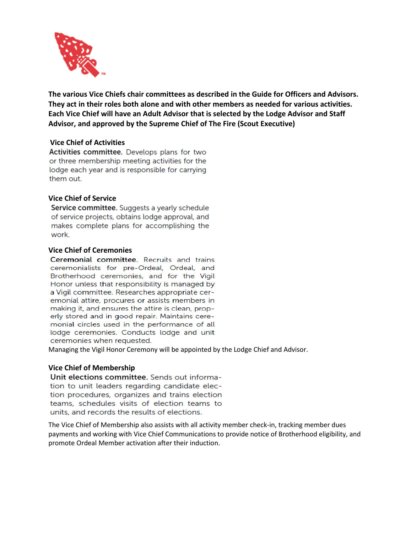

**The various Vice Chiefs chair committees as described in the Guide for Officers and Advisors. They act in their roles both alone and with other members as needed for various activities. Each Vice Chief will have an Adult Advisor that is selected by the Lodge Advisor and Staff Advisor, and approved by the Supreme Chief of The Fire (Scout Executive)** 

## **Vice Chief of Activities**

Activities committee. Develops plans for two or three membership meeting activities for the lodge each year and is responsible for carrying them out.

## **Vice Chief of Service**

Service committee. Suggests a yearly schedule of service projects, obtains lodge approval, and makes complete plans for accomplishing the work.

#### **Vice Chief of Ceremonies**

Ceremonial committee. Recruits and trains ceremonialists for pre-Ordeal, Ordeal, and Brotherhood ceremonies, and for the Vigil Honor unless that responsibility is managed by a Vigil committee. Researches appropriate ceremonial attire, procures or assists members in making it, and ensures the attire is clean, properly stored and in good repair. Maintains ceremonial circles used in the performance of all lodge ceremonies. Conducts lodge and unit ceremonies when requested.

Managing the Vigil Honor Ceremony will be appointed by the Lodge Chief and Advisor.

#### **Vice Chief of Membership**

Unit elections committee. Sends out information to unit leaders regarding candidate election procedures, organizes and trains election teams, schedules visits of election teams to units, and records the results of elections.

The Vice Chief of Membership also assists with all activity member check-in, tracking member dues payments and working with Vice Chief Communications to provide notice of Brotherhood eligibility, and promote Ordeal Member activation after their induction.